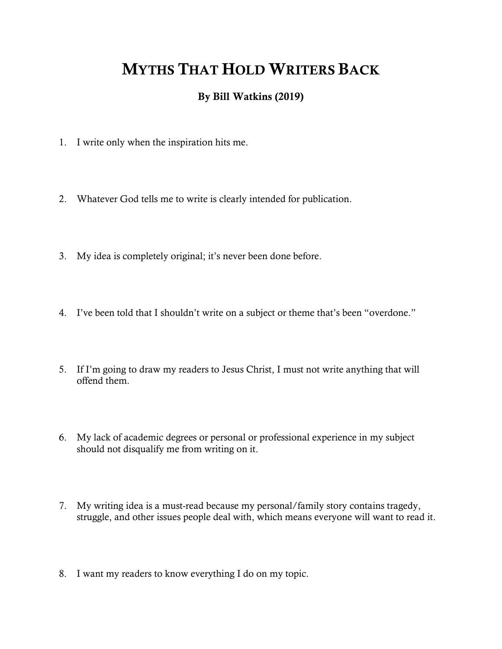## MYTHS THAT HOLD WRITERS BACK

## By Bill Watkins (2019)

- 1. I write only when the inspiration hits me.
- 2. Whatever God tells me to write is clearly intended for publication.
- 3. My idea is completely original; it's never been done before.
- 4. I've been told that I shouldn't write on a subject or theme that's been "overdone."
- 5. If I'm going to draw my readers to Jesus Christ, I must not write anything that will offend them.
- 6. My lack of academic degrees or personal or professional experience in my subject should not disqualify me from writing on it.
- 7. My writing idea is a must-read because my personal/family story contains tragedy, struggle, and other issues people deal with, which means everyone will want to read it.
- 8. I want my readers to know everything I do on my topic.